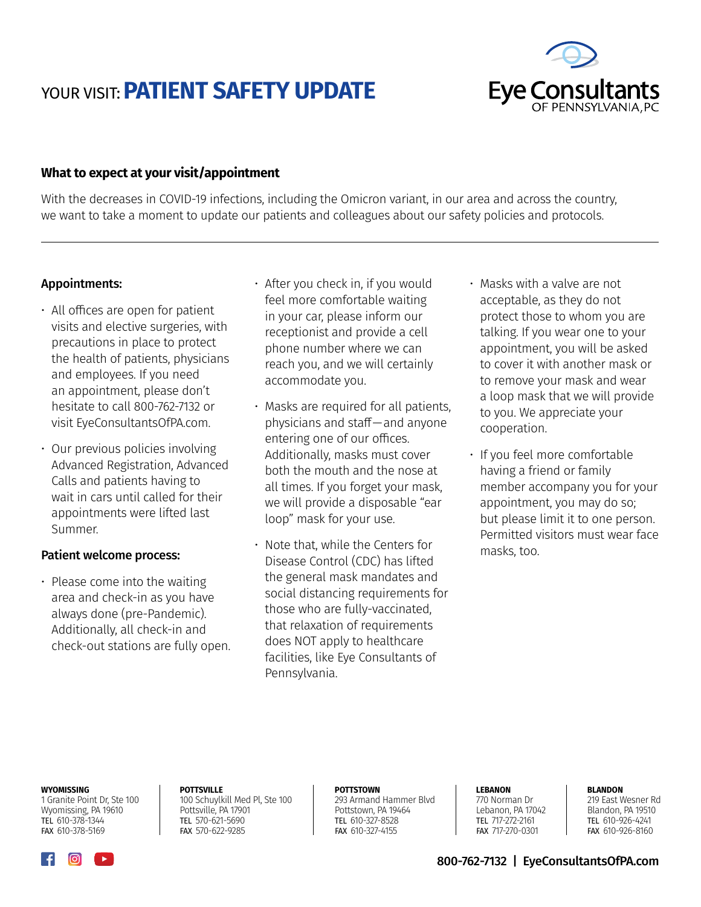# YOUR VISIT: **PATIENT SAFETY UPDATE**



## **What to expect at your visit/appointment**

With the decreases in COVID-19 infections, including the Omicron variant, in our area and across the country, we want to take a moment to update our patients and colleagues about our safety policies and protocols.

## Appointments:

- All offices are open for patient visits and elective surgeries, with precautions in place to protect the health of patients, physicians and employees. If you need an appointment, please don't hesitate to call 800-762-7132 or visit EyeConsultantsOfPA.com.
- Our previous policies involving Advanced Registration, Advanced Calls and patients having to wait in cars until called for their appointments were lifted last Summer.

## Patient welcome process:

• Please come into the waiting area and check-in as you have always done (pre-Pandemic). Additionally, all check-in and check-out stations are fully open.

- After you check in, if you would feel more comfortable waiting in your car, please inform our receptionist and provide a cell phone number where we can reach you, and we will certainly accommodate you.
- Masks are required for all patients, physicians and staff—and anyone entering one of our offices. Additionally, masks must cover both the mouth and the nose at all times. If you forget your mask, we will provide a disposable "ear loop" mask for your use.
- Note that, while the Centers for Disease Control (CDC) has lifted the general mask mandates and social distancing requirements for those who are fully-vaccinated, that relaxation of requirements does NOT apply to healthcare facilities, like Eye Consultants of Pennsylvania.
- Masks with a valve are not acceptable, as they do not protect those to whom you are talking. If you wear one to your appointment, you will be asked to cover it with another mask or to remove your mask and wear a loop mask that we will provide to you. We appreciate your cooperation.
- If you feel more comfortable having a friend or family member accompany you for your appointment, you may do so; but please limit it to one person. Permitted visitors must wear face masks, too.

#### **WYOMISSING**

1 Granite Point Dr, Ste 100 Wyomissing, PA 19610 TEL 610-378-1344 FAX 610-378-5169



#### **POTTSVILLE**

100 Schuylkill Med Pl, Ste 100 Pottsville, PA 17901 TEL 570-621-5690 FAX 570-622-9285

#### **POTTSTOWN**

293 Armand Hammer Blvd Pottstown, PA 19464 TEL 610-327-8528 FAX 610-327-4155

**LEBANON** 770 Norman Dr Lebanon, PA 17042 TEL 717-272-2161 FAX 717-270-0301

#### **BLANDON**

219 East Wesner Rd Blandon, PA 19510 TEL 610-926-4241 FAX 610-926-8160